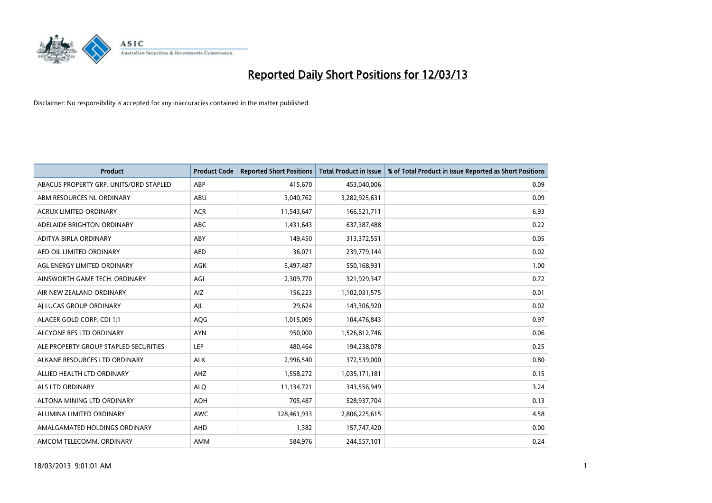

| <b>Product</b>                         | <b>Product Code</b> | <b>Reported Short Positions</b> | <b>Total Product in Issue</b> | % of Total Product in Issue Reported as Short Positions |
|----------------------------------------|---------------------|---------------------------------|-------------------------------|---------------------------------------------------------|
| ABACUS PROPERTY GRP. UNITS/ORD STAPLED | ABP                 | 415,670                         | 453,040,006                   | 0.09                                                    |
| ABM RESOURCES NL ORDINARY              | ABU                 | 3,040,762                       | 3,282,925,631                 | 0.09                                                    |
| <b>ACRUX LIMITED ORDINARY</b>          | <b>ACR</b>          | 11,543,647                      | 166,521,711                   | 6.93                                                    |
| ADELAIDE BRIGHTON ORDINARY             | <b>ABC</b>          | 1,431,643                       | 637,387,488                   | 0.22                                                    |
| ADITYA BIRLA ORDINARY                  | ABY                 | 149,450                         | 313,372,551                   | 0.05                                                    |
| AED OIL LIMITED ORDINARY               | <b>AED</b>          | 36,071                          | 239,779,144                   | 0.02                                                    |
| AGL ENERGY LIMITED ORDINARY            | AGK                 | 5,497,487                       | 550,168,931                   | 1.00                                                    |
| AINSWORTH GAME TECH. ORDINARY          | AGI                 | 2,309,770                       | 321,929,347                   | 0.72                                                    |
| AIR NEW ZEALAND ORDINARY               | AIZ                 | 156,223                         | 1,102,031,575                 | 0.01                                                    |
| AI LUCAS GROUP ORDINARY                | AJL                 | 29,624                          | 143,306,920                   | 0.02                                                    |
| ALACER GOLD CORP. CDI 1:1              | AQG                 | 1,015,009                       | 104,476,843                   | 0.97                                                    |
| ALCYONE RES LTD ORDINARY               | <b>AYN</b>          | 950,000                         | 1,526,812,746                 | 0.06                                                    |
| ALE PROPERTY GROUP STAPLED SECURITIES  | <b>LEP</b>          | 480,464                         | 194,238,078                   | 0.25                                                    |
| ALKANE RESOURCES LTD ORDINARY          | <b>ALK</b>          | 2,996,540                       | 372,539,000                   | 0.80                                                    |
| ALLIED HEALTH LTD ORDINARY             | AHZ                 | 1,558,272                       | 1,035,171,181                 | 0.15                                                    |
| ALS LTD ORDINARY                       | <b>ALO</b>          | 11,134,721                      | 343,556,949                   | 3.24                                                    |
| ALTONA MINING LTD ORDINARY             | <b>AOH</b>          | 705,487                         | 528,937,704                   | 0.13                                                    |
| ALUMINA LIMITED ORDINARY               | <b>AWC</b>          | 128,461,933                     | 2,806,225,615                 | 4.58                                                    |
| AMALGAMATED HOLDINGS ORDINARY          | AHD                 | 1,382                           | 157,747,420                   | 0.00                                                    |
| AMCOM TELECOMM. ORDINARY               | AMM                 | 584,976                         | 244,557,101                   | 0.24                                                    |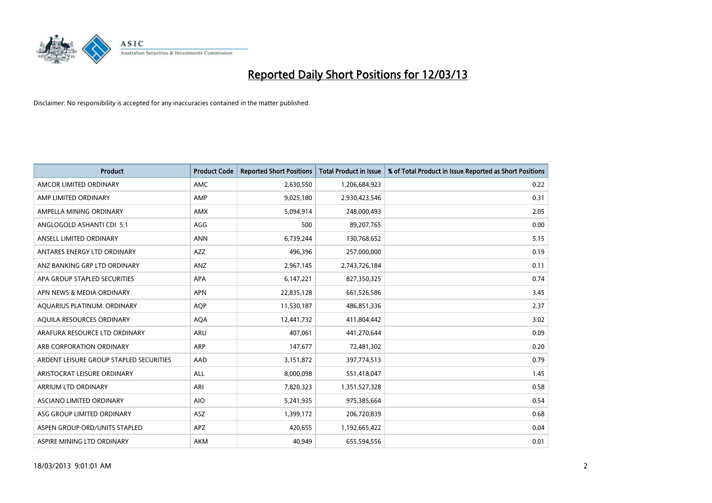

| <b>Product</b>                          | <b>Product Code</b> | <b>Reported Short Positions</b> | <b>Total Product in Issue</b> | % of Total Product in Issue Reported as Short Positions |
|-----------------------------------------|---------------------|---------------------------------|-------------------------------|---------------------------------------------------------|
| AMCOR LIMITED ORDINARY                  | AMC                 | 2,630,550                       | 1,206,684,923                 | 0.22                                                    |
| AMP LIMITED ORDINARY                    | AMP                 | 9,025,180                       | 2,930,423,546                 | 0.31                                                    |
| AMPELLA MINING ORDINARY                 | <b>AMX</b>          | 5,094,914                       | 248,000,493                   | 2.05                                                    |
| ANGLOGOLD ASHANTI CDI 5:1               | AGG                 | 500                             | 89,207,765                    | 0.00                                                    |
| ANSELL LIMITED ORDINARY                 | <b>ANN</b>          | 6,739,244                       | 130,768,652                   | 5.15                                                    |
| ANTARES ENERGY LTD ORDINARY             | AZZ                 | 496,396                         | 257,000,000                   | 0.19                                                    |
| ANZ BANKING GRP LTD ORDINARY            | <b>ANZ</b>          | 2,967,145                       | 2,743,726,184                 | 0.11                                                    |
| APA GROUP STAPLED SECURITIES            | APA                 | 6,147,221                       | 827,350,325                   | 0.74                                                    |
| APN NEWS & MEDIA ORDINARY               | <b>APN</b>          | 22,835,128                      | 661,526,586                   | 3.45                                                    |
| AQUARIUS PLATINUM. ORDINARY             | <b>AOP</b>          | 11,530,187                      | 486,851,336                   | 2.37                                                    |
| AQUILA RESOURCES ORDINARY               | <b>AQA</b>          | 12,441,732                      | 411,804,442                   | 3.02                                                    |
| ARAFURA RESOURCE LTD ORDINARY           | ARU                 | 407,061                         | 441,270,644                   | 0.09                                                    |
| ARB CORPORATION ORDINARY                | <b>ARP</b>          | 147,677                         | 72,481,302                    | 0.20                                                    |
| ARDENT LEISURE GROUP STAPLED SECURITIES | AAD                 | 3,151,872                       | 397,774,513                   | 0.79                                                    |
| ARISTOCRAT LEISURE ORDINARY             | <b>ALL</b>          | 8,000,098                       | 551,418,047                   | 1.45                                                    |
| ARRIUM LTD ORDINARY                     | ARI                 | 7,820,323                       | 1,351,527,328                 | 0.58                                                    |
| ASCIANO LIMITED ORDINARY                | <b>AIO</b>          | 5,241,935                       | 975,385,664                   | 0.54                                                    |
| ASG GROUP LIMITED ORDINARY              | <b>ASZ</b>          | 1,399,172                       | 206,720,839                   | 0.68                                                    |
| ASPEN GROUP ORD/UNITS STAPLED           | <b>APZ</b>          | 420,655                         | 1,192,665,422                 | 0.04                                                    |
| ASPIRE MINING LTD ORDINARY              | AKM                 | 40,949                          | 655,594,556                   | 0.01                                                    |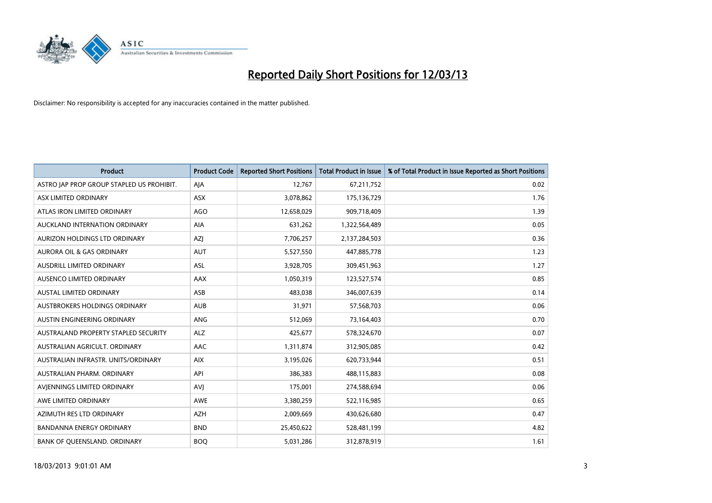

| Product                                   | <b>Product Code</b> | <b>Reported Short Positions</b> | <b>Total Product in Issue</b> | % of Total Product in Issue Reported as Short Positions |
|-------------------------------------------|---------------------|---------------------------------|-------------------------------|---------------------------------------------------------|
| ASTRO JAP PROP GROUP STAPLED US PROHIBIT. | AJA                 | 12,767                          | 67,211,752                    | 0.02                                                    |
| ASX LIMITED ORDINARY                      | ASX                 | 3,078,862                       | 175,136,729                   | 1.76                                                    |
| ATLAS IRON LIMITED ORDINARY               | AGO                 | 12,658,029                      | 909,718,409                   | 1.39                                                    |
| AUCKLAND INTERNATION ORDINARY             | AIA                 | 631,262                         | 1,322,564,489                 | 0.05                                                    |
| <b>AURIZON HOLDINGS LTD ORDINARY</b>      | AZJ                 | 7,706,257                       | 2,137,284,503                 | 0.36                                                    |
| <b>AURORA OIL &amp; GAS ORDINARY</b>      | <b>AUT</b>          | 5,527,550                       | 447,885,778                   | 1.23                                                    |
| AUSDRILL LIMITED ORDINARY                 | ASL                 | 3,928,705                       | 309,451,963                   | 1.27                                                    |
| AUSENCO LIMITED ORDINARY                  | AAX                 | 1,050,319                       | 123,527,574                   | 0.85                                                    |
| <b>AUSTAL LIMITED ORDINARY</b>            | ASB                 | 483,038                         | 346,007,639                   | 0.14                                                    |
| <b>AUSTBROKERS HOLDINGS ORDINARY</b>      | <b>AUB</b>          | 31,971                          | 57,568,703                    | 0.06                                                    |
| AUSTIN ENGINEERING ORDINARY               | ANG                 | 512,069                         | 73,164,403                    | 0.70                                                    |
| AUSTRALAND PROPERTY STAPLED SECURITY      | <b>ALZ</b>          | 425,677                         | 578,324,670                   | 0.07                                                    |
| AUSTRALIAN AGRICULT, ORDINARY             | AAC                 | 1,311,874                       | 312,905,085                   | 0.42                                                    |
| AUSTRALIAN INFRASTR, UNITS/ORDINARY       | <b>AIX</b>          | 3,195,026                       | 620,733,944                   | 0.51                                                    |
| AUSTRALIAN PHARM, ORDINARY                | API                 | 386,383                         | 488,115,883                   | 0.08                                                    |
| AVJENNINGS LIMITED ORDINARY               | <b>AVJ</b>          | 175,001                         | 274,588,694                   | 0.06                                                    |
| AWE LIMITED ORDINARY                      | AWE                 | 3,380,259                       | 522,116,985                   | 0.65                                                    |
| AZIMUTH RES LTD ORDINARY                  | <b>AZH</b>          | 2,009,669                       | 430,626,680                   | 0.47                                                    |
| <b>BANDANNA ENERGY ORDINARY</b>           | <b>BND</b>          | 25,450,622                      | 528,481,199                   | 4.82                                                    |
| BANK OF QUEENSLAND. ORDINARY              | <b>BOO</b>          | 5,031,286                       | 312,878,919                   | 1.61                                                    |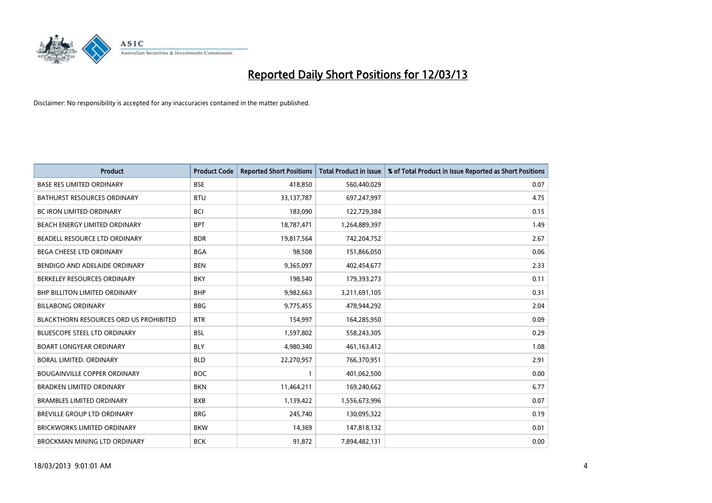

| <b>Product</b>                                | <b>Product Code</b> | <b>Reported Short Positions</b> | <b>Total Product in Issue</b> | % of Total Product in Issue Reported as Short Positions |
|-----------------------------------------------|---------------------|---------------------------------|-------------------------------|---------------------------------------------------------|
| <b>BASE RES LIMITED ORDINARY</b>              | <b>BSE</b>          | 418,850                         | 560,440,029                   | 0.07                                                    |
| <b>BATHURST RESOURCES ORDINARY</b>            | <b>BTU</b>          | 33, 137, 787                    | 697,247,997                   | 4.75                                                    |
| <b>BC IRON LIMITED ORDINARY</b>               | <b>BCI</b>          | 183,090                         | 122,729,384                   | 0.15                                                    |
| BEACH ENERGY LIMITED ORDINARY                 | <b>BPT</b>          | 18,787,471                      | 1,264,889,397                 | 1.49                                                    |
| BEADELL RESOURCE LTD ORDINARY                 | <b>BDR</b>          | 19,817,564                      | 742,204,752                   | 2.67                                                    |
| BEGA CHEESE LTD ORDINARY                      | <b>BGA</b>          | 98,508                          | 151,866,050                   | 0.06                                                    |
| BENDIGO AND ADELAIDE ORDINARY                 | <b>BEN</b>          | 9,365,097                       | 402,454,677                   | 2.33                                                    |
| BERKELEY RESOURCES ORDINARY                   | <b>BKY</b>          | 198,540                         | 179,393,273                   | 0.11                                                    |
| <b>BHP BILLITON LIMITED ORDINARY</b>          | <b>BHP</b>          | 9,982,663                       | 3,211,691,105                 | 0.31                                                    |
| <b>BILLABONG ORDINARY</b>                     | <b>BBG</b>          | 9,775,455                       | 478,944,292                   | 2.04                                                    |
| <b>BLACKTHORN RESOURCES ORD US PROHIBITED</b> | <b>BTR</b>          | 154,997                         | 164,285,950                   | 0.09                                                    |
| <b>BLUESCOPE STEEL LTD ORDINARY</b>           | <b>BSL</b>          | 1,597,802                       | 558,243,305                   | 0.29                                                    |
| <b>BOART LONGYEAR ORDINARY</b>                | <b>BLY</b>          | 4,980,340                       | 461,163,412                   | 1.08                                                    |
| <b>BORAL LIMITED, ORDINARY</b>                | <b>BLD</b>          | 22,270,957                      | 766,370,951                   | 2.91                                                    |
| <b>BOUGAINVILLE COPPER ORDINARY</b>           | <b>BOC</b>          | $\mathbf{1}$                    | 401,062,500                   | 0.00                                                    |
| <b>BRADKEN LIMITED ORDINARY</b>               | <b>BKN</b>          | 11,464,211                      | 169,240,662                   | 6.77                                                    |
| <b>BRAMBLES LIMITED ORDINARY</b>              | <b>BXB</b>          | 1,139,422                       | 1,556,673,996                 | 0.07                                                    |
| BREVILLE GROUP LTD ORDINARY                   | <b>BRG</b>          | 245,740                         | 130,095,322                   | 0.19                                                    |
| <b>BRICKWORKS LIMITED ORDINARY</b>            | <b>BKW</b>          | 14,369                          | 147,818,132                   | 0.01                                                    |
| BROCKMAN MINING LTD ORDINARY                  | <b>BCK</b>          | 91,872                          | 7,894,482,131                 | 0.00                                                    |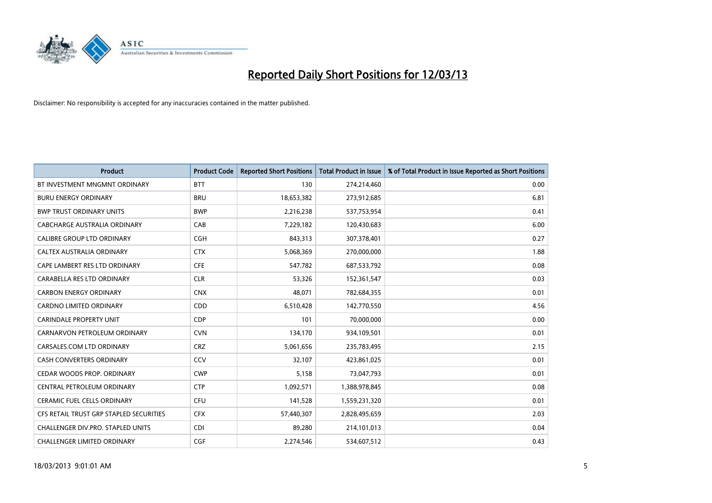

| <b>Product</b>                          | <b>Product Code</b> | <b>Reported Short Positions</b> | <b>Total Product in Issue</b> | % of Total Product in Issue Reported as Short Positions |
|-----------------------------------------|---------------------|---------------------------------|-------------------------------|---------------------------------------------------------|
| BT INVESTMENT MNGMNT ORDINARY           | <b>BTT</b>          | 130                             | 274,214,460                   | 0.00                                                    |
| <b>BURU ENERGY ORDINARY</b>             | <b>BRU</b>          | 18,653,382                      | 273,912,685                   | 6.81                                                    |
| <b>BWP TRUST ORDINARY UNITS</b>         | <b>BWP</b>          | 2,216,238                       | 537,753,954                   | 0.41                                                    |
| CABCHARGE AUSTRALIA ORDINARY            | CAB                 | 7,229,182                       | 120,430,683                   | 6.00                                                    |
| CALIBRE GROUP LTD ORDINARY              | <b>CGH</b>          | 843,313                         | 307,378,401                   | 0.27                                                    |
| CALTEX AUSTRALIA ORDINARY               | <b>CTX</b>          | 5,068,369                       | 270,000,000                   | 1.88                                                    |
| CAPE LAMBERT RES LTD ORDINARY           | <b>CFE</b>          | 547,782                         | 687,533,792                   | 0.08                                                    |
| CARABELLA RES LTD ORDINARY              | <b>CLR</b>          | 53,326                          | 152,361,547                   | 0.03                                                    |
| <b>CARBON ENERGY ORDINARY</b>           | <b>CNX</b>          | 48,071                          | 782,684,355                   | 0.01                                                    |
| <b>CARDNO LIMITED ORDINARY</b>          | CDD                 | 6,510,428                       | 142,770,550                   | 4.56                                                    |
| CARINDALE PROPERTY UNIT                 | <b>CDP</b>          | 101                             | 70,000,000                    | 0.00                                                    |
| CARNARVON PETROLEUM ORDINARY            | <b>CVN</b>          | 134,170                         | 934,109,501                   | 0.01                                                    |
| CARSALES.COM LTD ORDINARY               | <b>CRZ</b>          | 5,061,656                       | 235,783,495                   | 2.15                                                    |
| <b>CASH CONVERTERS ORDINARY</b>         | CCV                 | 32,107                          | 423,861,025                   | 0.01                                                    |
| CEDAR WOODS PROP. ORDINARY              | <b>CWP</b>          | 5,158                           | 73,047,793                    | 0.01                                                    |
| CENTRAL PETROLEUM ORDINARY              | <b>CTP</b>          | 1,092,571                       | 1,388,978,845                 | 0.08                                                    |
| CERAMIC FUEL CELLS ORDINARY             | <b>CFU</b>          | 141,528                         | 1,559,231,320                 | 0.01                                                    |
| CFS RETAIL TRUST GRP STAPLED SECURITIES | <b>CFX</b>          | 57,440,307                      | 2,828,495,659                 | 2.03                                                    |
| CHALLENGER DIV.PRO. STAPLED UNITS       | <b>CDI</b>          | 89,280                          | 214,101,013                   | 0.04                                                    |
| CHALLENGER LIMITED ORDINARY             | <b>CGF</b>          | 2,274,546                       | 534,607,512                   | 0.43                                                    |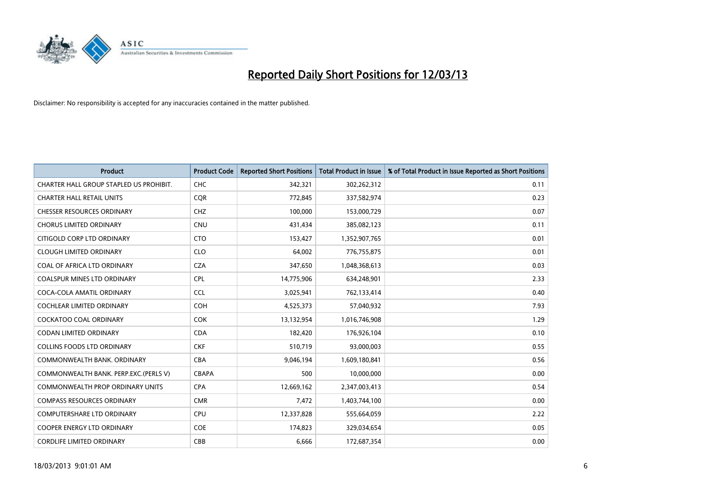

| <b>Product</b>                          | <b>Product Code</b> | <b>Reported Short Positions</b> | <b>Total Product in Issue</b> | % of Total Product in Issue Reported as Short Positions |
|-----------------------------------------|---------------------|---------------------------------|-------------------------------|---------------------------------------------------------|
| CHARTER HALL GROUP STAPLED US PROHIBIT. | <b>CHC</b>          | 342,321                         | 302,262,312                   | 0.11                                                    |
| <b>CHARTER HALL RETAIL UNITS</b>        | <b>CQR</b>          | 772,845                         | 337,582,974                   | 0.23                                                    |
| <b>CHESSER RESOURCES ORDINARY</b>       | <b>CHZ</b>          | 100,000                         | 153,000,729                   | 0.07                                                    |
| <b>CHORUS LIMITED ORDINARY</b>          | <b>CNU</b>          | 431,434                         | 385,082,123                   | 0.11                                                    |
| CITIGOLD CORP LTD ORDINARY              | <b>CTO</b>          | 153,427                         | 1,352,907,765                 | 0.01                                                    |
| <b>CLOUGH LIMITED ORDINARY</b>          | <b>CLO</b>          | 64,002                          | 776,755,875                   | 0.01                                                    |
| COAL OF AFRICA LTD ORDINARY             | <b>CZA</b>          | 347,650                         | 1,048,368,613                 | 0.03                                                    |
| COALSPUR MINES LTD ORDINARY             | <b>CPL</b>          | 14,775,906                      | 634,248,901                   | 2.33                                                    |
| COCA-COLA AMATIL ORDINARY               | <b>CCL</b>          | 3,025,941                       | 762,133,414                   | 0.40                                                    |
| <b>COCHLEAR LIMITED ORDINARY</b>        | <b>COH</b>          | 4,525,373                       | 57,040,932                    | 7.93                                                    |
| <b>COCKATOO COAL ORDINARY</b>           | <b>COK</b>          | 13,132,954                      | 1,016,746,908                 | 1.29                                                    |
| CODAN LIMITED ORDINARY                  | <b>CDA</b>          | 182,420                         | 176,926,104                   | 0.10                                                    |
| <b>COLLINS FOODS LTD ORDINARY</b>       | <b>CKF</b>          | 510,719                         | 93,000,003                    | 0.55                                                    |
| COMMONWEALTH BANK, ORDINARY             | <b>CBA</b>          | 9,046,194                       | 1,609,180,841                 | 0.56                                                    |
| COMMONWEALTH BANK. PERP.EXC.(PERLS V)   | CBAPA               | 500                             | 10,000,000                    | 0.00                                                    |
| <b>COMMONWEALTH PROP ORDINARY UNITS</b> | <b>CPA</b>          | 12,669,162                      | 2,347,003,413                 | 0.54                                                    |
| <b>COMPASS RESOURCES ORDINARY</b>       | <b>CMR</b>          | 7,472                           | 1,403,744,100                 | 0.00                                                    |
| <b>COMPUTERSHARE LTD ORDINARY</b>       | <b>CPU</b>          | 12,337,828                      | 555,664,059                   | 2.22                                                    |
| <b>COOPER ENERGY LTD ORDINARY</b>       | <b>COE</b>          | 174,823                         | 329,034,654                   | 0.05                                                    |
| <b>CORDLIFE LIMITED ORDINARY</b>        | CBB                 | 6,666                           | 172,687,354                   | 0.00                                                    |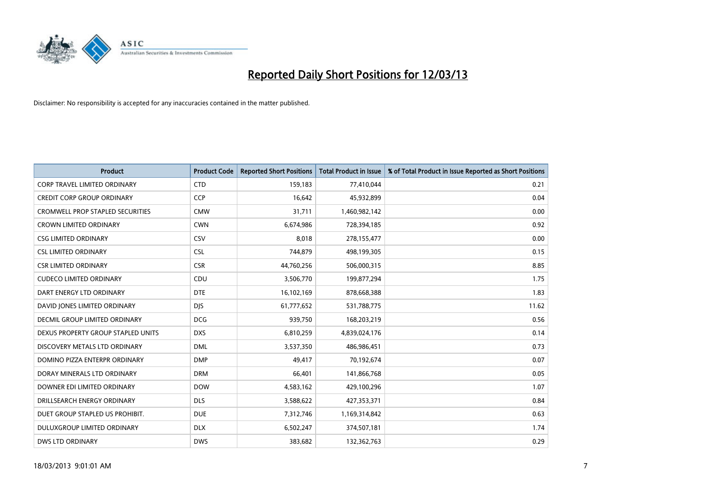

| <b>Product</b>                          | <b>Product Code</b> | <b>Reported Short Positions</b> | <b>Total Product in Issue</b> | % of Total Product in Issue Reported as Short Positions |
|-----------------------------------------|---------------------|---------------------------------|-------------------------------|---------------------------------------------------------|
| CORP TRAVEL LIMITED ORDINARY            | <b>CTD</b>          | 159,183                         | 77,410,044                    | 0.21                                                    |
| <b>CREDIT CORP GROUP ORDINARY</b>       | <b>CCP</b>          | 16,642                          | 45,932,899                    | 0.04                                                    |
| <b>CROMWELL PROP STAPLED SECURITIES</b> | <b>CMW</b>          | 31,711                          | 1,460,982,142                 | 0.00                                                    |
| CROWN LIMITED ORDINARY                  | <b>CWN</b>          | 6,674,986                       | 728,394,185                   | 0.92                                                    |
| <b>CSG LIMITED ORDINARY</b>             | CSV                 | 8,018                           | 278,155,477                   | 0.00                                                    |
| <b>CSL LIMITED ORDINARY</b>             | <b>CSL</b>          | 744,879                         | 498,199,305                   | 0.15                                                    |
| <b>CSR LIMITED ORDINARY</b>             | <b>CSR</b>          | 44,760,256                      | 506,000,315                   | 8.85                                                    |
| <b>CUDECO LIMITED ORDINARY</b>          | CDU                 | 3,506,770                       | 199,877,294                   | 1.75                                                    |
| DART ENERGY LTD ORDINARY                | <b>DTE</b>          | 16,102,169                      | 878,668,388                   | 1.83                                                    |
| DAVID JONES LIMITED ORDINARY            | <b>DJS</b>          | 61,777,652                      | 531,788,775                   | 11.62                                                   |
| <b>DECMIL GROUP LIMITED ORDINARY</b>    | <b>DCG</b>          | 939,750                         | 168,203,219                   | 0.56                                                    |
| DEXUS PROPERTY GROUP STAPLED UNITS      | <b>DXS</b>          | 6,810,259                       | 4,839,024,176                 | 0.14                                                    |
| DISCOVERY METALS LTD ORDINARY           | <b>DML</b>          | 3,537,350                       | 486,986,451                   | 0.73                                                    |
| DOMINO PIZZA ENTERPR ORDINARY           | <b>DMP</b>          | 49,417                          | 70,192,674                    | 0.07                                                    |
| DORAY MINERALS LTD ORDINARY             | <b>DRM</b>          | 66,401                          | 141,866,768                   | 0.05                                                    |
| DOWNER EDI LIMITED ORDINARY             | <b>DOW</b>          | 4,583,162                       | 429,100,296                   | 1.07                                                    |
| DRILLSEARCH ENERGY ORDINARY             | <b>DLS</b>          | 3,588,622                       | 427,353,371                   | 0.84                                                    |
| DUET GROUP STAPLED US PROHIBIT.         | <b>DUE</b>          | 7,312,746                       | 1,169,314,842                 | 0.63                                                    |
| DULUXGROUP LIMITED ORDINARY             | <b>DLX</b>          | 6,502,247                       | 374,507,181                   | 1.74                                                    |
| DWS LTD ORDINARY                        | <b>DWS</b>          | 383,682                         | 132,362,763                   | 0.29                                                    |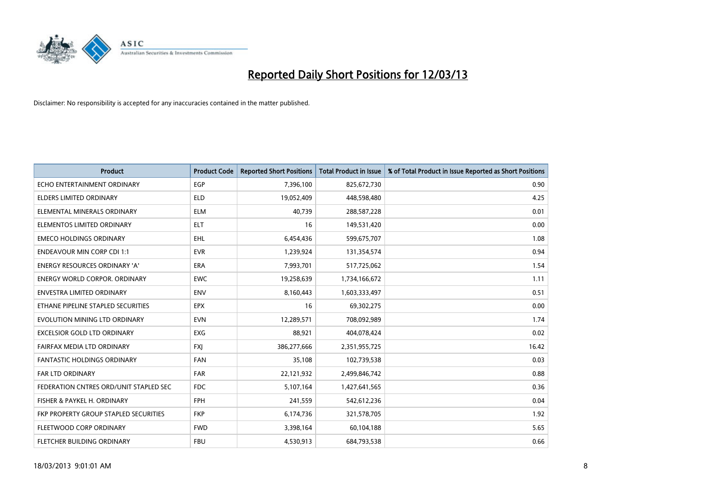

| <b>Product</b>                         | <b>Product Code</b> | <b>Reported Short Positions</b> | <b>Total Product in Issue</b> | % of Total Product in Issue Reported as Short Positions |
|----------------------------------------|---------------------|---------------------------------|-------------------------------|---------------------------------------------------------|
| ECHO ENTERTAINMENT ORDINARY            | <b>EGP</b>          | 7,396,100                       | 825,672,730                   | 0.90                                                    |
| ELDERS LIMITED ORDINARY                | <b>ELD</b>          | 19,052,409                      | 448,598,480                   | 4.25                                                    |
| ELEMENTAL MINERALS ORDINARY            | <b>ELM</b>          | 40,739                          | 288,587,228                   | 0.01                                                    |
| ELEMENTOS LIMITED ORDINARY             | <b>ELT</b>          | 16                              | 149,531,420                   | 0.00                                                    |
| <b>EMECO HOLDINGS ORDINARY</b>         | <b>EHL</b>          | 6,454,436                       | 599,675,707                   | 1.08                                                    |
| <b>ENDEAVOUR MIN CORP CDI 1:1</b>      | <b>EVR</b>          | 1,239,924                       | 131,354,574                   | 0.94                                                    |
| <b>ENERGY RESOURCES ORDINARY 'A'</b>   | <b>ERA</b>          | 7,993,701                       | 517,725,062                   | 1.54                                                    |
| <b>ENERGY WORLD CORPOR, ORDINARY</b>   | <b>EWC</b>          | 19,258,639                      | 1,734,166,672                 | 1.11                                                    |
| <b>ENVESTRA LIMITED ORDINARY</b>       | <b>ENV</b>          | 8,160,443                       | 1,603,333,497                 | 0.51                                                    |
| ETHANE PIPELINE STAPLED SECURITIES     | <b>EPX</b>          | 16                              | 69,302,275                    | 0.00                                                    |
| EVOLUTION MINING LTD ORDINARY          | <b>EVN</b>          | 12,289,571                      | 708,092,989                   | 1.74                                                    |
| <b>EXCELSIOR GOLD LTD ORDINARY</b>     | EXG                 | 88,921                          | 404,078,424                   | 0.02                                                    |
| FAIRFAX MEDIA LTD ORDINARY             | <b>FXJ</b>          | 386,277,666                     | 2,351,955,725                 | 16.42                                                   |
| <b>FANTASTIC HOLDINGS ORDINARY</b>     | <b>FAN</b>          | 35,108                          | 102,739,538                   | 0.03                                                    |
| FAR LTD ORDINARY                       | <b>FAR</b>          | 22,121,932                      | 2,499,846,742                 | 0.88                                                    |
| FEDERATION CNTRES ORD/UNIT STAPLED SEC | <b>FDC</b>          | 5,107,164                       | 1,427,641,565                 | 0.36                                                    |
| FISHER & PAYKEL H. ORDINARY            | <b>FPH</b>          | 241,559                         | 542,612,236                   | 0.04                                                    |
| FKP PROPERTY GROUP STAPLED SECURITIES  | <b>FKP</b>          | 6,174,736                       | 321,578,705                   | 1.92                                                    |
| FLEETWOOD CORP ORDINARY                | <b>FWD</b>          | 3,398,164                       | 60,104,188                    | 5.65                                                    |
| FLETCHER BUILDING ORDINARY             | <b>FBU</b>          | 4,530,913                       | 684,793,538                   | 0.66                                                    |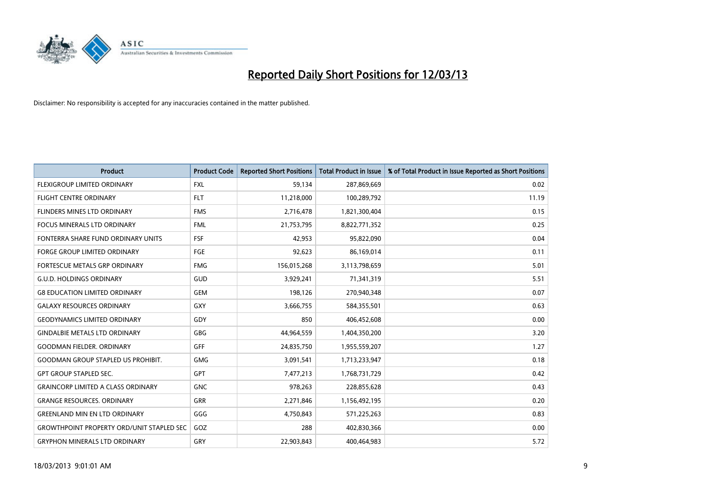

| <b>Product</b>                                   | <b>Product Code</b> | <b>Reported Short Positions</b> | <b>Total Product in Issue</b> | % of Total Product in Issue Reported as Short Positions |
|--------------------------------------------------|---------------------|---------------------------------|-------------------------------|---------------------------------------------------------|
| <b>FLEXIGROUP LIMITED ORDINARY</b>               | <b>FXL</b>          | 59,134                          | 287,869,669                   | 0.02                                                    |
| <b>FLIGHT CENTRE ORDINARY</b>                    | <b>FLT</b>          | 11,218,000                      | 100,289,792                   | 11.19                                                   |
| FLINDERS MINES LTD ORDINARY                      | <b>FMS</b>          | 2,716,478                       | 1,821,300,404                 | 0.15                                                    |
| <b>FOCUS MINERALS LTD ORDINARY</b>               | <b>FML</b>          | 21,753,795                      | 8,822,771,352                 | 0.25                                                    |
| FONTERRA SHARE FUND ORDINARY UNITS               | <b>FSF</b>          | 42,953                          | 95,822,090                    | 0.04                                                    |
| <b>FORGE GROUP LIMITED ORDINARY</b>              | FGE                 | 92,623                          | 86,169,014                    | 0.11                                                    |
| FORTESCUE METALS GRP ORDINARY                    | <b>FMG</b>          | 156,015,268                     | 3,113,798,659                 | 5.01                                                    |
| <b>G.U.D. HOLDINGS ORDINARY</b>                  | GUD                 | 3,929,241                       | 71,341,319                    | 5.51                                                    |
| <b>G8 EDUCATION LIMITED ORDINARY</b>             | <b>GEM</b>          | 198,126                         | 270,940,348                   | 0.07                                                    |
| <b>GALAXY RESOURCES ORDINARY</b>                 | GXY                 | 3,666,755                       | 584,355,501                   | 0.63                                                    |
| <b>GEODYNAMICS LIMITED ORDINARY</b>              | GDY                 | 850                             | 406,452,608                   | 0.00                                                    |
| <b>GINDALBIE METALS LTD ORDINARY</b>             | <b>GBG</b>          | 44,964,559                      | 1,404,350,200                 | 3.20                                                    |
| <b>GOODMAN FIELDER, ORDINARY</b>                 | <b>GFF</b>          | 24,835,750                      | 1,955,559,207                 | 1.27                                                    |
| <b>GOODMAN GROUP STAPLED US PROHIBIT.</b>        | <b>GMG</b>          | 3,091,541                       | 1,713,233,947                 | 0.18                                                    |
| GPT GROUP STAPLED SEC.                           | <b>GPT</b>          | 7,477,213                       | 1,768,731,729                 | 0.42                                                    |
| <b>GRAINCORP LIMITED A CLASS ORDINARY</b>        | <b>GNC</b>          | 978,263                         | 228,855,628                   | 0.43                                                    |
| <b>GRANGE RESOURCES, ORDINARY</b>                | GRR                 | 2,271,846                       | 1,156,492,195                 | 0.20                                                    |
| <b>GREENLAND MIN EN LTD ORDINARY</b>             | GGG                 | 4,750,843                       | 571,225,263                   | 0.83                                                    |
| <b>GROWTHPOINT PROPERTY ORD/UNIT STAPLED SEC</b> | GOZ                 | 288                             | 402,830,366                   | 0.00                                                    |
| <b>GRYPHON MINERALS LTD ORDINARY</b>             | GRY                 | 22,903,843                      | 400,464,983                   | 5.72                                                    |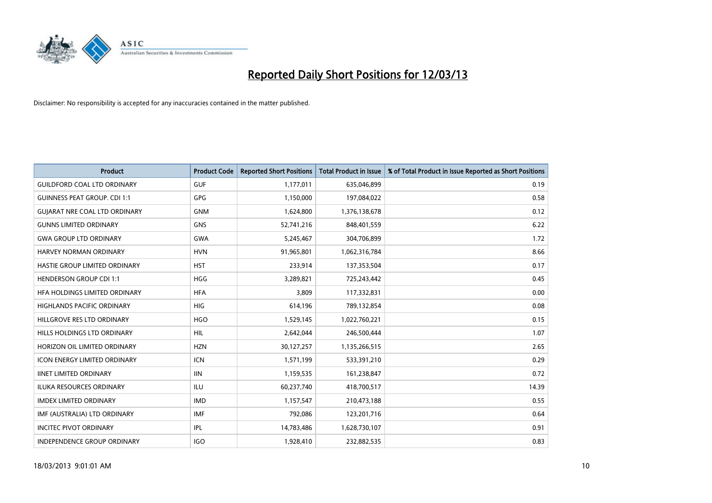

| <b>Product</b>                       | <b>Product Code</b> | <b>Reported Short Positions</b> | <b>Total Product in Issue</b> | % of Total Product in Issue Reported as Short Positions |
|--------------------------------------|---------------------|---------------------------------|-------------------------------|---------------------------------------------------------|
| <b>GUILDFORD COAL LTD ORDINARY</b>   | <b>GUF</b>          | 1,177,011                       | 635,046,899                   | 0.19                                                    |
| <b>GUINNESS PEAT GROUP. CDI 1:1</b>  | GPG                 | 1,150,000                       | 197,084,022                   | 0.58                                                    |
| <b>GUIARAT NRE COAL LTD ORDINARY</b> | <b>GNM</b>          | 1,624,800                       | 1,376,138,678                 | 0.12                                                    |
| <b>GUNNS LIMITED ORDINARY</b>        | <b>GNS</b>          | 52,741,216                      | 848,401,559                   | 6.22                                                    |
| <b>GWA GROUP LTD ORDINARY</b>        | <b>GWA</b>          | 5,245,467                       | 304,706,899                   | 1.72                                                    |
| HARVEY NORMAN ORDINARY               | <b>HVN</b>          | 91,965,801                      | 1,062,316,784                 | 8.66                                                    |
| <b>HASTIE GROUP LIMITED ORDINARY</b> | <b>HST</b>          | 233,914                         | 137,353,504                   | 0.17                                                    |
| <b>HENDERSON GROUP CDI 1:1</b>       | <b>HGG</b>          | 3,289,821                       | 725,243,442                   | 0.45                                                    |
| HFA HOLDINGS LIMITED ORDINARY        | <b>HFA</b>          | 3,809                           | 117,332,831                   | 0.00                                                    |
| <b>HIGHLANDS PACIFIC ORDINARY</b>    | <b>HIG</b>          | 614,196                         | 789,132,854                   | 0.08                                                    |
| HILLGROVE RES LTD ORDINARY           | <b>HGO</b>          | 1,529,145                       | 1,022,760,221                 | 0.15                                                    |
| HILLS HOLDINGS LTD ORDINARY          | HIL                 | 2,642,044                       | 246,500,444                   | 1.07                                                    |
| HORIZON OIL LIMITED ORDINARY         | <b>HZN</b>          | 30,127,257                      | 1,135,266,515                 | 2.65                                                    |
| <b>ICON ENERGY LIMITED ORDINARY</b>  | <b>ICN</b>          | 1,571,199                       | 533,391,210                   | 0.29                                                    |
| <b>IINET LIMITED ORDINARY</b>        | <b>IIN</b>          | 1,159,535                       | 161,238,847                   | 0.72                                                    |
| ILUKA RESOURCES ORDINARY             | ILU                 | 60,237,740                      | 418,700,517                   | 14.39                                                   |
| <b>IMDEX LIMITED ORDINARY</b>        | <b>IMD</b>          | 1,157,547                       | 210,473,188                   | 0.55                                                    |
| IMF (AUSTRALIA) LTD ORDINARY         | <b>IMF</b>          | 792,086                         | 123,201,716                   | 0.64                                                    |
| <b>INCITEC PIVOT ORDINARY</b>        | IPL                 | 14,783,486                      | 1,628,730,107                 | 0.91                                                    |
| INDEPENDENCE GROUP ORDINARY          | <b>IGO</b>          | 1,928,410                       | 232,882,535                   | 0.83                                                    |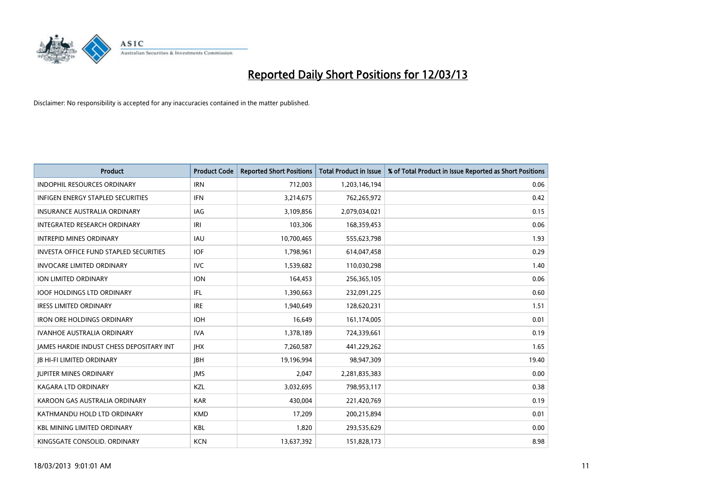

| <b>Product</b>                                | <b>Product Code</b> | <b>Reported Short Positions</b> | <b>Total Product in Issue</b> | % of Total Product in Issue Reported as Short Positions |
|-----------------------------------------------|---------------------|---------------------------------|-------------------------------|---------------------------------------------------------|
| <b>INDOPHIL RESOURCES ORDINARY</b>            | <b>IRN</b>          | 712,003                         | 1,203,146,194                 | 0.06                                                    |
| INFIGEN ENERGY STAPLED SECURITIES             | <b>IFN</b>          | 3,214,675                       | 762,265,972                   | 0.42                                                    |
| <b>INSURANCE AUSTRALIA ORDINARY</b>           | IAG                 | 3,109,856                       | 2,079,034,021                 | 0.15                                                    |
| INTEGRATED RESEARCH ORDINARY                  | IRI                 | 103,306                         | 168,359,453                   | 0.06                                                    |
| <b>INTREPID MINES ORDINARY</b>                | <b>IAU</b>          | 10,700,465                      | 555,623,798                   | 1.93                                                    |
| <b>INVESTA OFFICE FUND STAPLED SECURITIES</b> | <b>IOF</b>          | 1,798,961                       | 614,047,458                   | 0.29                                                    |
| <b>INVOCARE LIMITED ORDINARY</b>              | IVC                 | 1,539,682                       | 110,030,298                   | 1.40                                                    |
| <b>ION LIMITED ORDINARY</b>                   | <b>ION</b>          | 164,453                         | 256,365,105                   | 0.06                                                    |
| <b>IOOF HOLDINGS LTD ORDINARY</b>             | <b>IFL</b>          | 1,390,663                       | 232,091,225                   | 0.60                                                    |
| <b>IRESS LIMITED ORDINARY</b>                 | <b>IRE</b>          | 1,940,649                       | 128,620,231                   | 1.51                                                    |
| <b>IRON ORE HOLDINGS ORDINARY</b>             | <b>IOH</b>          | 16,649                          | 161,174,005                   | 0.01                                                    |
| <b>IVANHOE AUSTRALIA ORDINARY</b>             | <b>IVA</b>          | 1,378,189                       | 724,339,661                   | 0.19                                                    |
| JAMES HARDIE INDUST CHESS DEPOSITARY INT      | <b>IHX</b>          | 7,260,587                       | 441,229,262                   | 1.65                                                    |
| <b>IB HI-FI LIMITED ORDINARY</b>              | <b>IBH</b>          | 19,196,994                      | 98,947,309                    | 19.40                                                   |
| <b>JUPITER MINES ORDINARY</b>                 | <b>IMS</b>          | 2,047                           | 2,281,835,383                 | 0.00                                                    |
| <b>KAGARA LTD ORDINARY</b>                    | KZL                 | 3,032,695                       | 798,953,117                   | 0.38                                                    |
| KAROON GAS AUSTRALIA ORDINARY                 | <b>KAR</b>          | 430,004                         | 221,420,769                   | 0.19                                                    |
| KATHMANDU HOLD LTD ORDINARY                   | <b>KMD</b>          | 17,209                          | 200,215,894                   | 0.01                                                    |
| <b>KBL MINING LIMITED ORDINARY</b>            | <b>KBL</b>          | 1,820                           | 293,535,629                   | 0.00                                                    |
| KINGSGATE CONSOLID. ORDINARY                  | <b>KCN</b>          | 13,637,392                      | 151,828,173                   | 8.98                                                    |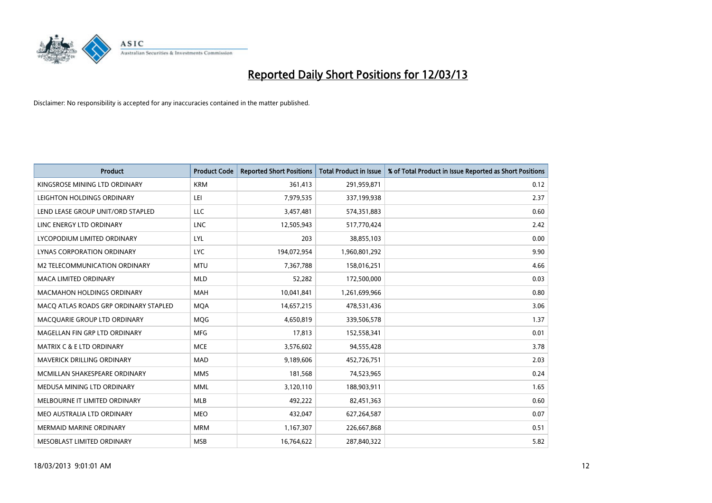

| <b>Product</b>                        | <b>Product Code</b> | <b>Reported Short Positions</b> | <b>Total Product in Issue</b> | % of Total Product in Issue Reported as Short Positions |
|---------------------------------------|---------------------|---------------------------------|-------------------------------|---------------------------------------------------------|
| KINGSROSE MINING LTD ORDINARY         | <b>KRM</b>          | 361,413                         | 291,959,871                   | 0.12                                                    |
| LEIGHTON HOLDINGS ORDINARY            | LEI                 | 7,979,535                       | 337,199,938                   | 2.37                                                    |
| LEND LEASE GROUP UNIT/ORD STAPLED     | LLC                 | 3,457,481                       | 574,351,883                   | 0.60                                                    |
| LINC ENERGY LTD ORDINARY              | <b>LNC</b>          | 12,505,943                      | 517,770,424                   | 2.42                                                    |
| LYCOPODIUM LIMITED ORDINARY           | <b>LYL</b>          | 203                             | 38,855,103                    | 0.00                                                    |
| LYNAS CORPORATION ORDINARY            | <b>LYC</b>          | 194,072,954                     | 1,960,801,292                 | 9.90                                                    |
| M2 TELECOMMUNICATION ORDINARY         | <b>MTU</b>          | 7,367,788                       | 158,016,251                   | 4.66                                                    |
| MACA LIMITED ORDINARY                 | <b>MLD</b>          | 52,282                          | 172,500,000                   | 0.03                                                    |
| <b>MACMAHON HOLDINGS ORDINARY</b>     | <b>MAH</b>          | 10,041,841                      | 1,261,699,966                 | 0.80                                                    |
| MACO ATLAS ROADS GRP ORDINARY STAPLED | <b>MOA</b>          | 14,657,215                      | 478,531,436                   | 3.06                                                    |
| MACQUARIE GROUP LTD ORDINARY          | MQG                 | 4,650,819                       | 339,506,578                   | 1.37                                                    |
| MAGELLAN FIN GRP LTD ORDINARY         | <b>MFG</b>          | 17,813                          | 152,558,341                   | 0.01                                                    |
| <b>MATRIX C &amp; E LTD ORDINARY</b>  | <b>MCE</b>          | 3,576,602                       | 94,555,428                    | 3.78                                                    |
| MAVERICK DRILLING ORDINARY            | <b>MAD</b>          | 9,189,606                       | 452,726,751                   | 2.03                                                    |
| MCMILLAN SHAKESPEARE ORDINARY         | <b>MMS</b>          | 181,568                         | 74,523,965                    | 0.24                                                    |
| MEDUSA MINING LTD ORDINARY            | <b>MML</b>          | 3,120,110                       | 188,903,911                   | 1.65                                                    |
| MELBOURNE IT LIMITED ORDINARY         | <b>MLB</b>          | 492,222                         | 82,451,363                    | 0.60                                                    |
| MEO AUSTRALIA LTD ORDINARY            | <b>MEO</b>          | 432,047                         | 627,264,587                   | 0.07                                                    |
| <b>MERMAID MARINE ORDINARY</b>        | <b>MRM</b>          | 1,167,307                       | 226,667,868                   | 0.51                                                    |
| MESOBLAST LIMITED ORDINARY            | <b>MSB</b>          | 16,764,622                      | 287,840,322                   | 5.82                                                    |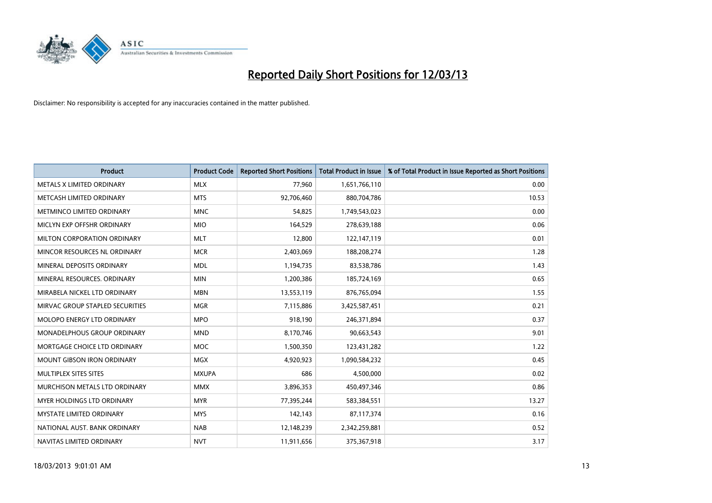

| <b>Product</b>                     | <b>Product Code</b> | <b>Reported Short Positions</b> | <b>Total Product in Issue</b> | % of Total Product in Issue Reported as Short Positions |
|------------------------------------|---------------------|---------------------------------|-------------------------------|---------------------------------------------------------|
| METALS X LIMITED ORDINARY          | <b>MLX</b>          | 77,960                          | 1,651,766,110                 | 0.00                                                    |
| METCASH LIMITED ORDINARY           | <b>MTS</b>          | 92,706,460                      | 880,704,786                   | 10.53                                                   |
| METMINCO LIMITED ORDINARY          | <b>MNC</b>          | 54,825                          | 1,749,543,023                 | 0.00                                                    |
| MICLYN EXP OFFSHR ORDINARY         | <b>MIO</b>          | 164,529                         | 278,639,188                   | 0.06                                                    |
| MILTON CORPORATION ORDINARY        | <b>MLT</b>          | 12,800                          | 122,147,119                   | 0.01                                                    |
| MINCOR RESOURCES NL ORDINARY       | <b>MCR</b>          | 2,403,069                       | 188,208,274                   | 1.28                                                    |
| MINERAL DEPOSITS ORDINARY          | <b>MDL</b>          | 1,194,735                       | 83,538,786                    | 1.43                                                    |
| MINERAL RESOURCES. ORDINARY        | <b>MIN</b>          | 1,200,386                       | 185,724,169                   | 0.65                                                    |
| MIRABELA NICKEL LTD ORDINARY       | <b>MBN</b>          | 13,553,119                      | 876,765,094                   | 1.55                                                    |
| MIRVAC GROUP STAPLED SECURITIES    | <b>MGR</b>          | 7,115,886                       | 3,425,587,451                 | 0.21                                                    |
| MOLOPO ENERGY LTD ORDINARY         | <b>MPO</b>          | 918,190                         | 246,371,894                   | 0.37                                                    |
| <b>MONADELPHOUS GROUP ORDINARY</b> | <b>MND</b>          | 8,170,746                       | 90,663,543                    | 9.01                                                    |
| MORTGAGE CHOICE LTD ORDINARY       | MOC                 | 1,500,350                       | 123,431,282                   | 1.22                                                    |
| <b>MOUNT GIBSON IRON ORDINARY</b>  | <b>MGX</b>          | 4,920,923                       | 1,090,584,232                 | 0.45                                                    |
| MULTIPLEX SITES SITES              | <b>MXUPA</b>        | 686                             | 4,500,000                     | 0.02                                                    |
| MURCHISON METALS LTD ORDINARY      | <b>MMX</b>          | 3,896,353                       | 450,497,346                   | 0.86                                                    |
| MYER HOLDINGS LTD ORDINARY         | <b>MYR</b>          | 77,395,244                      | 583,384,551                   | 13.27                                                   |
| MYSTATE LIMITED ORDINARY           | <b>MYS</b>          | 142,143                         | 87,117,374                    | 0.16                                                    |
| NATIONAL AUST, BANK ORDINARY       | <b>NAB</b>          | 12,148,239                      | 2,342,259,881                 | 0.52                                                    |
| NAVITAS LIMITED ORDINARY           | <b>NVT</b>          | 11,911,656                      | 375,367,918                   | 3.17                                                    |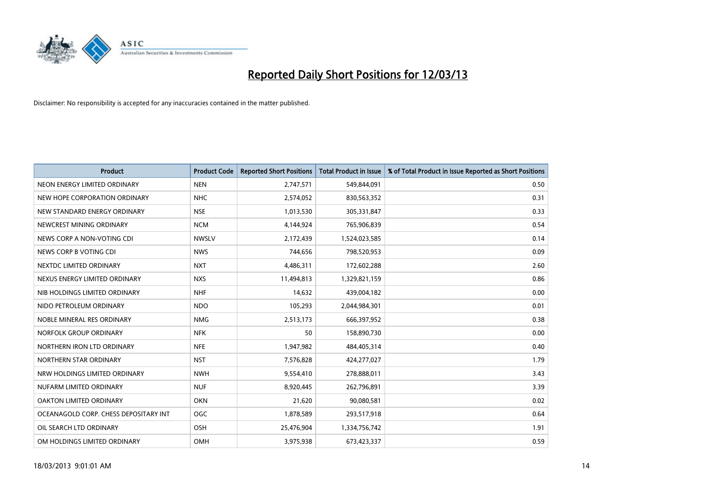

| <b>Product</b>                        | <b>Product Code</b> | <b>Reported Short Positions</b> | <b>Total Product in Issue</b> | % of Total Product in Issue Reported as Short Positions |
|---------------------------------------|---------------------|---------------------------------|-------------------------------|---------------------------------------------------------|
| NEON ENERGY LIMITED ORDINARY          | <b>NEN</b>          | 2,747,571                       | 549,844,091                   | 0.50                                                    |
| NEW HOPE CORPORATION ORDINARY         | <b>NHC</b>          | 2,574,052                       | 830,563,352                   | 0.31                                                    |
| NEW STANDARD ENERGY ORDINARY          | <b>NSE</b>          | 1,013,530                       | 305,331,847                   | 0.33                                                    |
| NEWCREST MINING ORDINARY              | <b>NCM</b>          | 4,144,924                       | 765,906,839                   | 0.54                                                    |
| NEWS CORP A NON-VOTING CDI            | <b>NWSLV</b>        | 2,172,439                       | 1,524,023,585                 | 0.14                                                    |
| NEWS CORP B VOTING CDI                | <b>NWS</b>          | 744,656                         | 798,520,953                   | 0.09                                                    |
| NEXTDC LIMITED ORDINARY               | <b>NXT</b>          | 4,486,311                       | 172,602,288                   | 2.60                                                    |
| NEXUS ENERGY LIMITED ORDINARY         | <b>NXS</b>          | 11,494,813                      | 1,329,821,159                 | 0.86                                                    |
| NIB HOLDINGS LIMITED ORDINARY         | <b>NHF</b>          | 14,632                          | 439,004,182                   | 0.00                                                    |
| NIDO PETROLEUM ORDINARY               | <b>NDO</b>          | 105,293                         | 2,044,984,301                 | 0.01                                                    |
| NOBLE MINERAL RES ORDINARY            | <b>NMG</b>          | 2,513,173                       | 666,397,952                   | 0.38                                                    |
| NORFOLK GROUP ORDINARY                | <b>NFK</b>          | 50                              | 158,890,730                   | 0.00                                                    |
| NORTHERN IRON LTD ORDINARY            | <b>NFE</b>          | 1,947,982                       | 484,405,314                   | 0.40                                                    |
| NORTHERN STAR ORDINARY                | <b>NST</b>          | 7,576,828                       | 424,277,027                   | 1.79                                                    |
| NRW HOLDINGS LIMITED ORDINARY         | <b>NWH</b>          | 9,554,410                       | 278,888,011                   | 3.43                                                    |
| NUFARM LIMITED ORDINARY               | <b>NUF</b>          | 8,920,445                       | 262,796,891                   | 3.39                                                    |
| OAKTON LIMITED ORDINARY               | <b>OKN</b>          | 21,620                          | 90,080,581                    | 0.02                                                    |
| OCEANAGOLD CORP. CHESS DEPOSITARY INT | <b>OGC</b>          | 1,878,589                       | 293,517,918                   | 0.64                                                    |
| OIL SEARCH LTD ORDINARY               | OSH                 | 25,476,904                      | 1,334,756,742                 | 1.91                                                    |
| OM HOLDINGS LIMITED ORDINARY          | OMH                 | 3,975,938                       | 673,423,337                   | 0.59                                                    |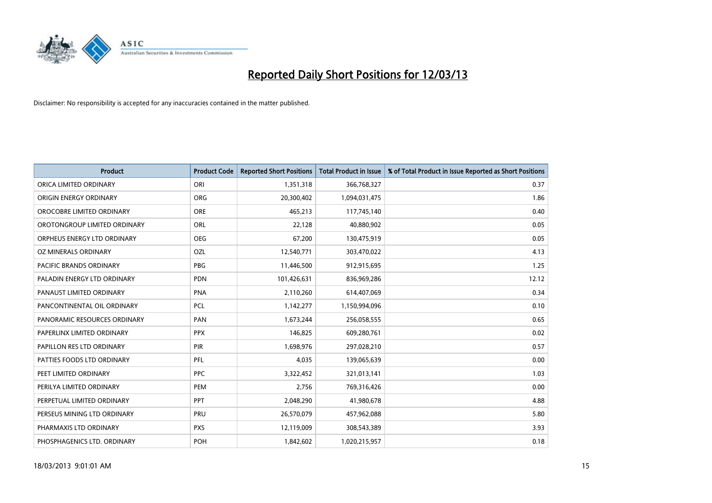

| <b>Product</b>               | <b>Product Code</b> | <b>Reported Short Positions</b> | <b>Total Product in Issue</b> | % of Total Product in Issue Reported as Short Positions |
|------------------------------|---------------------|---------------------------------|-------------------------------|---------------------------------------------------------|
| ORICA LIMITED ORDINARY       | ORI                 | 1,351,318                       | 366,768,327                   | 0.37                                                    |
| ORIGIN ENERGY ORDINARY       | <b>ORG</b>          | 20,300,402                      | 1,094,031,475                 | 1.86                                                    |
| OROCOBRE LIMITED ORDINARY    | <b>ORE</b>          | 465,213                         | 117,745,140                   | 0.40                                                    |
| OROTONGROUP LIMITED ORDINARY | ORL                 | 22,128                          | 40,880,902                    | 0.05                                                    |
| ORPHEUS ENERGY LTD ORDINARY  | <b>OEG</b>          | 67,200                          | 130,475,919                   | 0.05                                                    |
| OZ MINERALS ORDINARY         | OZL                 | 12,540,771                      | 303,470,022                   | 4.13                                                    |
| PACIFIC BRANDS ORDINARY      | <b>PBG</b>          | 11,446,500                      | 912,915,695                   | 1.25                                                    |
| PALADIN ENERGY LTD ORDINARY  | <b>PDN</b>          | 101,426,631                     | 836,969,286                   | 12.12                                                   |
| PANAUST LIMITED ORDINARY     | <b>PNA</b>          | 2,110,260                       | 614,407,069                   | 0.34                                                    |
| PANCONTINENTAL OIL ORDINARY  | <b>PCL</b>          | 1,142,277                       | 1,150,994,096                 | 0.10                                                    |
| PANORAMIC RESOURCES ORDINARY | PAN                 | 1,673,244                       | 256,058,555                   | 0.65                                                    |
| PAPERLINX LIMITED ORDINARY   | <b>PPX</b>          | 146,825                         | 609,280,761                   | 0.02                                                    |
| PAPILLON RES LTD ORDINARY    | PIR                 | 1,698,976                       | 297,028,210                   | 0.57                                                    |
| PATTIES FOODS LTD ORDINARY   | PFL                 | 4,035                           | 139,065,639                   | 0.00                                                    |
| PEET LIMITED ORDINARY        | <b>PPC</b>          | 3,322,452                       | 321,013,141                   | 1.03                                                    |
| PERILYA LIMITED ORDINARY     | PEM                 | 2,756                           | 769,316,426                   | 0.00                                                    |
| PERPETUAL LIMITED ORDINARY   | <b>PPT</b>          | 2,048,290                       | 41,980,678                    | 4.88                                                    |
| PERSEUS MINING LTD ORDINARY  | <b>PRU</b>          | 26,570,079                      | 457,962,088                   | 5.80                                                    |
| PHARMAXIS LTD ORDINARY       | <b>PXS</b>          | 12,119,009                      | 308,543,389                   | 3.93                                                    |
| PHOSPHAGENICS LTD. ORDINARY  | POH                 | 1,842,602                       | 1,020,215,957                 | 0.18                                                    |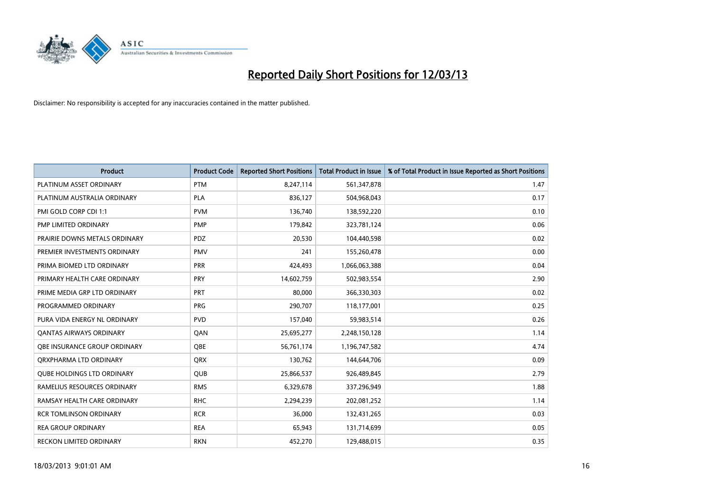

| <b>Product</b>                    | <b>Product Code</b> | <b>Reported Short Positions</b> | <b>Total Product in Issue</b> | % of Total Product in Issue Reported as Short Positions |
|-----------------------------------|---------------------|---------------------------------|-------------------------------|---------------------------------------------------------|
| PLATINUM ASSET ORDINARY           | <b>PTM</b>          | 8,247,114                       | 561,347,878                   | 1.47                                                    |
| PLATINUM AUSTRALIA ORDINARY       | <b>PLA</b>          | 836,127                         | 504,968,043                   | 0.17                                                    |
| PMI GOLD CORP CDI 1:1             | <b>PVM</b>          | 136,740                         | 138,592,220                   | 0.10                                                    |
| PMP LIMITED ORDINARY              | <b>PMP</b>          | 179,842                         | 323,781,124                   | 0.06                                                    |
| PRAIRIE DOWNS METALS ORDINARY     | <b>PDZ</b>          | 20,530                          | 104,440,598                   | 0.02                                                    |
| PREMIER INVESTMENTS ORDINARY      | <b>PMV</b>          | 241                             | 155,260,478                   | 0.00                                                    |
| PRIMA BIOMED LTD ORDINARY         | <b>PRR</b>          | 424,493                         | 1,066,063,388                 | 0.04                                                    |
| PRIMARY HEALTH CARE ORDINARY      | <b>PRY</b>          | 14,602,759                      | 502,983,554                   | 2.90                                                    |
| PRIME MEDIA GRP LTD ORDINARY      | <b>PRT</b>          | 80.000                          | 366,330,303                   | 0.02                                                    |
| PROGRAMMED ORDINARY               | <b>PRG</b>          | 290,707                         | 118,177,001                   | 0.25                                                    |
| PURA VIDA ENERGY NL ORDINARY      | <b>PVD</b>          | 157,040                         | 59,983,514                    | 0.26                                                    |
| <b>QANTAS AIRWAYS ORDINARY</b>    | QAN                 | 25,695,277                      | 2,248,150,128                 | 1.14                                                    |
| OBE INSURANCE GROUP ORDINARY      | <b>OBE</b>          | 56,761,174                      | 1,196,747,582                 | 4.74                                                    |
| ORXPHARMA LTD ORDINARY            | <b>QRX</b>          | 130,762                         | 144,644,706                   | 0.09                                                    |
| <b>QUBE HOLDINGS LTD ORDINARY</b> | <b>QUB</b>          | 25,866,537                      | 926,489,845                   | 2.79                                                    |
| RAMELIUS RESOURCES ORDINARY       | <b>RMS</b>          | 6,329,678                       | 337,296,949                   | 1.88                                                    |
| RAMSAY HEALTH CARE ORDINARY       | <b>RHC</b>          | 2,294,239                       | 202,081,252                   | 1.14                                                    |
| <b>RCR TOMLINSON ORDINARY</b>     | <b>RCR</b>          | 36,000                          | 132,431,265                   | 0.03                                                    |
| <b>REA GROUP ORDINARY</b>         | <b>REA</b>          | 65,943                          | 131,714,699                   | 0.05                                                    |
| RECKON LIMITED ORDINARY           | <b>RKN</b>          | 452,270                         | 129,488,015                   | 0.35                                                    |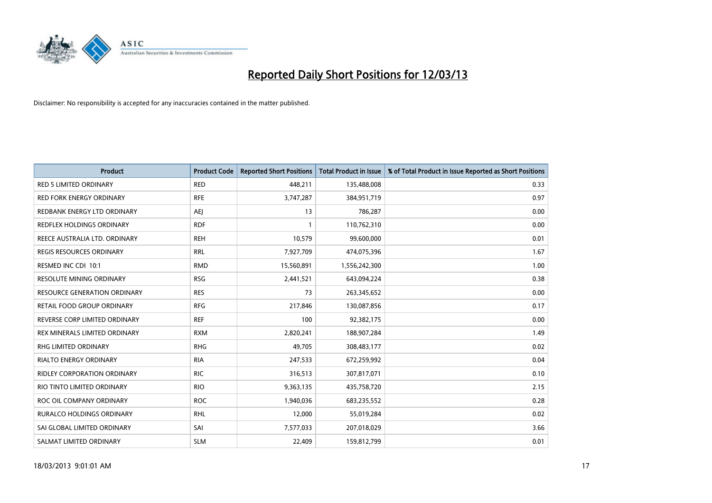

| Product                             | <b>Product Code</b> | <b>Reported Short Positions</b> | <b>Total Product in Issue</b> | % of Total Product in Issue Reported as Short Positions |
|-------------------------------------|---------------------|---------------------------------|-------------------------------|---------------------------------------------------------|
| <b>RED 5 LIMITED ORDINARY</b>       | <b>RED</b>          | 448,211                         | 135,488,008                   | 0.33                                                    |
| <b>RED FORK ENERGY ORDINARY</b>     | <b>RFE</b>          | 3,747,287                       | 384,951,719                   | 0.97                                                    |
| REDBANK ENERGY LTD ORDINARY         | AEJ                 | 13                              | 786,287                       | 0.00                                                    |
| REDFLEX HOLDINGS ORDINARY           | <b>RDF</b>          | 1                               | 110,762,310                   | 0.00                                                    |
| REECE AUSTRALIA LTD. ORDINARY       | <b>REH</b>          | 10,579                          | 99,600,000                    | 0.01                                                    |
| REGIS RESOURCES ORDINARY            | <b>RRL</b>          | 7,927,709                       | 474,075,396                   | 1.67                                                    |
| RESMED INC CDI 10:1                 | <b>RMD</b>          | 15,560,891                      | 1,556,242,300                 | 1.00                                                    |
| RESOLUTE MINING ORDINARY            | <b>RSG</b>          | 2,441,521                       | 643,094,224                   | 0.38                                                    |
| <b>RESOURCE GENERATION ORDINARY</b> | <b>RES</b>          | 73                              | 263,345,652                   | 0.00                                                    |
| RETAIL FOOD GROUP ORDINARY          | <b>RFG</b>          | 217,846                         | 130,087,856                   | 0.17                                                    |
| REVERSE CORP LIMITED ORDINARY       | <b>REF</b>          | 100                             | 92,382,175                    | 0.00                                                    |
| REX MINERALS LIMITED ORDINARY       | <b>RXM</b>          | 2,820,241                       | 188,907,284                   | 1.49                                                    |
| <b>RHG LIMITED ORDINARY</b>         | <b>RHG</b>          | 49,705                          | 308,483,177                   | 0.02                                                    |
| <b>RIALTO ENERGY ORDINARY</b>       | <b>RIA</b>          | 247,533                         | 672,259,992                   | 0.04                                                    |
| <b>RIDLEY CORPORATION ORDINARY</b>  | <b>RIC</b>          | 316,513                         | 307,817,071                   | 0.10                                                    |
| RIO TINTO LIMITED ORDINARY          | <b>RIO</b>          | 9,363,135                       | 435,758,720                   | 2.15                                                    |
| ROC OIL COMPANY ORDINARY            | <b>ROC</b>          | 1,940,036                       | 683,235,552                   | 0.28                                                    |
| RURALCO HOLDINGS ORDINARY           | <b>RHL</b>          | 12,000                          | 55,019,284                    | 0.02                                                    |
| SAI GLOBAL LIMITED ORDINARY         | SAI                 | 7,577,033                       | 207,018,029                   | 3.66                                                    |
| SALMAT LIMITED ORDINARY             | <b>SLM</b>          | 22,409                          | 159,812,799                   | 0.01                                                    |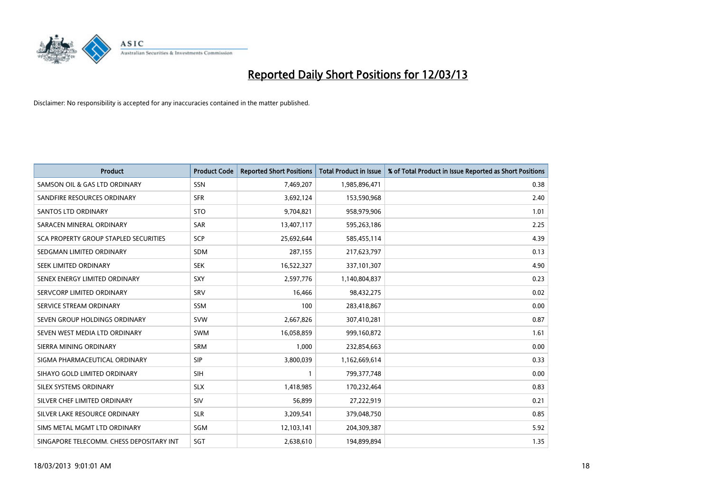

| <b>Product</b>                               | <b>Product Code</b> | <b>Reported Short Positions</b> | <b>Total Product in Issue</b> | % of Total Product in Issue Reported as Short Positions |
|----------------------------------------------|---------------------|---------------------------------|-------------------------------|---------------------------------------------------------|
| SAMSON OIL & GAS LTD ORDINARY                | <b>SSN</b>          | 7,469,207                       | 1,985,896,471                 | 0.38                                                    |
| SANDFIRE RESOURCES ORDINARY                  | <b>SFR</b>          | 3,692,124                       | 153,590,968                   | 2.40                                                    |
| <b>SANTOS LTD ORDINARY</b>                   | <b>STO</b>          | 9,704,821                       | 958,979,906                   | 1.01                                                    |
| SARACEN MINERAL ORDINARY                     | <b>SAR</b>          | 13,407,117                      | 595,263,186                   | 2.25                                                    |
| <b>SCA PROPERTY GROUP STAPLED SECURITIES</b> | SCP                 | 25,692,644                      | 585,455,114                   | 4.39                                                    |
| SEDGMAN LIMITED ORDINARY                     | <b>SDM</b>          | 287,155                         | 217,623,797                   | 0.13                                                    |
| SEEK LIMITED ORDINARY                        | <b>SEK</b>          | 16,522,327                      | 337,101,307                   | 4.90                                                    |
| SENEX ENERGY LIMITED ORDINARY                | <b>SXY</b>          | 2,597,776                       | 1,140,804,837                 | 0.23                                                    |
| SERVCORP LIMITED ORDINARY                    | SRV                 | 16,466                          | 98,432,275                    | 0.02                                                    |
| SERVICE STREAM ORDINARY                      | <b>SSM</b>          | 100                             | 283,418,867                   | 0.00                                                    |
| SEVEN GROUP HOLDINGS ORDINARY                | <b>SVW</b>          | 2,667,826                       | 307,410,281                   | 0.87                                                    |
| SEVEN WEST MEDIA LTD ORDINARY                | <b>SWM</b>          | 16,058,859                      | 999,160,872                   | 1.61                                                    |
| SIERRA MINING ORDINARY                       | SRM                 | 1,000                           | 232,854,663                   | 0.00                                                    |
| SIGMA PHARMACEUTICAL ORDINARY                | <b>SIP</b>          | 3,800,039                       | 1,162,669,614                 | 0.33                                                    |
| SIHAYO GOLD LIMITED ORDINARY                 | <b>SIH</b>          | 1                               | 799,377,748                   | 0.00                                                    |
| SILEX SYSTEMS ORDINARY                       | <b>SLX</b>          | 1,418,985                       | 170,232,464                   | 0.83                                                    |
| SILVER CHEF LIMITED ORDINARY                 | SIV                 | 56,899                          | 27,222,919                    | 0.21                                                    |
| SILVER LAKE RESOURCE ORDINARY                | <b>SLR</b>          | 3,209,541                       | 379,048,750                   | 0.85                                                    |
| SIMS METAL MGMT LTD ORDINARY                 | SGM                 | 12,103,141                      | 204,309,387                   | 5.92                                                    |
| SINGAPORE TELECOMM. CHESS DEPOSITARY INT     | SGT                 | 2,638,610                       | 194,899,894                   | 1.35                                                    |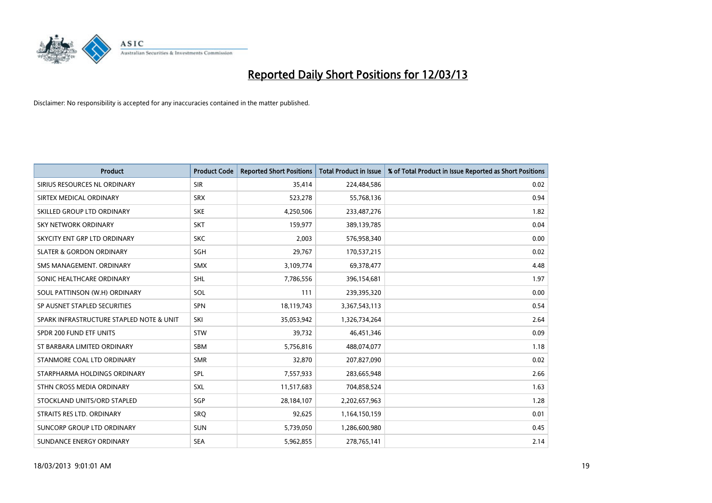

| <b>Product</b>                           | <b>Product Code</b> | <b>Reported Short Positions</b> | <b>Total Product in Issue</b> | % of Total Product in Issue Reported as Short Positions |
|------------------------------------------|---------------------|---------------------------------|-------------------------------|---------------------------------------------------------|
| SIRIUS RESOURCES NL ORDINARY             | <b>SIR</b>          | 35,414                          | 224,484,586                   | 0.02                                                    |
| SIRTEX MEDICAL ORDINARY                  | <b>SRX</b>          | 523,278                         | 55,768,136                    | 0.94                                                    |
| SKILLED GROUP LTD ORDINARY               | <b>SKE</b>          | 4,250,506                       | 233,487,276                   | 1.82                                                    |
| SKY NETWORK ORDINARY                     | <b>SKT</b>          | 159,977                         | 389,139,785                   | 0.04                                                    |
| SKYCITY ENT GRP LTD ORDINARY             | <b>SKC</b>          | 2,003                           | 576,958,340                   | 0.00                                                    |
| <b>SLATER &amp; GORDON ORDINARY</b>      | SGH                 | 29,767                          | 170,537,215                   | 0.02                                                    |
| SMS MANAGEMENT, ORDINARY                 | <b>SMX</b>          | 3,109,774                       | 69,378,477                    | 4.48                                                    |
| SONIC HEALTHCARE ORDINARY                | <b>SHL</b>          | 7,786,556                       | 396,154,681                   | 1.97                                                    |
| SOUL PATTINSON (W.H) ORDINARY            | SOL                 | 111                             | 239,395,320                   | 0.00                                                    |
| SP AUSNET STAPLED SECURITIES             | <b>SPN</b>          | 18,119,743                      | 3,367,543,113                 | 0.54                                                    |
| SPARK INFRASTRUCTURE STAPLED NOTE & UNIT | SKI                 | 35,053,942                      | 1,326,734,264                 | 2.64                                                    |
| SPDR 200 FUND ETF UNITS                  | <b>STW</b>          | 39,732                          | 46,451,346                    | 0.09                                                    |
| ST BARBARA LIMITED ORDINARY              | <b>SBM</b>          | 5,756,816                       | 488,074,077                   | 1.18                                                    |
| STANMORE COAL LTD ORDINARY               | <b>SMR</b>          | 32,870                          | 207,827,090                   | 0.02                                                    |
| STARPHARMA HOLDINGS ORDINARY             | <b>SPL</b>          | 7,557,933                       | 283,665,948                   | 2.66                                                    |
| STHN CROSS MEDIA ORDINARY                | <b>SXL</b>          | 11,517,683                      | 704,858,524                   | 1.63                                                    |
| STOCKLAND UNITS/ORD STAPLED              | SGP                 | 28,184,107                      | 2,202,657,963                 | 1.28                                                    |
| STRAITS RES LTD. ORDINARY                | SRO                 | 92,625                          | 1,164,150,159                 | 0.01                                                    |
| SUNCORP GROUP LTD ORDINARY               | <b>SUN</b>          | 5,739,050                       | 1,286,600,980                 | 0.45                                                    |
| SUNDANCE ENERGY ORDINARY                 | <b>SEA</b>          | 5,962,855                       | 278,765,141                   | 2.14                                                    |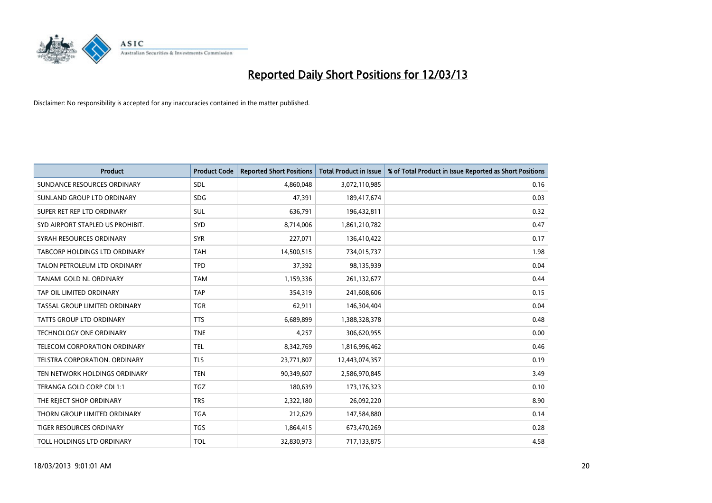

| <b>Product</b>                       | <b>Product Code</b> | <b>Reported Short Positions</b> | <b>Total Product in Issue</b> | % of Total Product in Issue Reported as Short Positions |
|--------------------------------------|---------------------|---------------------------------|-------------------------------|---------------------------------------------------------|
| SUNDANCE RESOURCES ORDINARY          | SDL                 | 4,860,048                       | 3,072,110,985                 | 0.16                                                    |
| SUNLAND GROUP LTD ORDINARY           | <b>SDG</b>          | 47,391                          | 189,417,674                   | 0.03                                                    |
| SUPER RET REP LTD ORDINARY           | SUL                 | 636,791                         | 196,432,811                   | 0.32                                                    |
| SYD AIRPORT STAPLED US PROHIBIT.     | <b>SYD</b>          | 8,714,006                       | 1,861,210,782                 | 0.47                                                    |
| SYRAH RESOURCES ORDINARY             | <b>SYR</b>          | 227,071                         | 136,410,422                   | 0.17                                                    |
| <b>TABCORP HOLDINGS LTD ORDINARY</b> | <b>TAH</b>          | 14,500,515                      | 734,015,737                   | 1.98                                                    |
| TALON PETROLEUM LTD ORDINARY         | <b>TPD</b>          | 37,392                          | 98,135,939                    | 0.04                                                    |
| TANAMI GOLD NL ORDINARY              | <b>TAM</b>          | 1,159,336                       | 261,132,677                   | 0.44                                                    |
| TAP OIL LIMITED ORDINARY             | <b>TAP</b>          | 354,319                         | 241,608,606                   | 0.15                                                    |
| TASSAL GROUP LIMITED ORDINARY        | <b>TGR</b>          | 62,911                          | 146,304,404                   | 0.04                                                    |
| <b>TATTS GROUP LTD ORDINARY</b>      | <b>TTS</b>          | 6,689,899                       | 1,388,328,378                 | 0.48                                                    |
| <b>TECHNOLOGY ONE ORDINARY</b>       | <b>TNE</b>          | 4,257                           | 306,620,955                   | 0.00                                                    |
| TELECOM CORPORATION ORDINARY         | <b>TEL</b>          | 8,342,769                       | 1,816,996,462                 | 0.46                                                    |
| TELSTRA CORPORATION. ORDINARY        | <b>TLS</b>          | 23,771,807                      | 12,443,074,357                | 0.19                                                    |
| TEN NETWORK HOLDINGS ORDINARY        | <b>TEN</b>          | 90,349,607                      | 2,586,970,845                 | 3.49                                                    |
| TERANGA GOLD CORP CDI 1:1            | <b>TGZ</b>          | 180,639                         | 173,176,323                   | 0.10                                                    |
| THE REJECT SHOP ORDINARY             | <b>TRS</b>          | 2,322,180                       | 26,092,220                    | 8.90                                                    |
| THORN GROUP LIMITED ORDINARY         | <b>TGA</b>          | 212,629                         | 147,584,880                   | 0.14                                                    |
| <b>TIGER RESOURCES ORDINARY</b>      | <b>TGS</b>          | 1,864,415                       | 673,470,269                   | 0.28                                                    |
| TOLL HOLDINGS LTD ORDINARY           | <b>TOL</b>          | 32,830,973                      | 717,133,875                   | 4.58                                                    |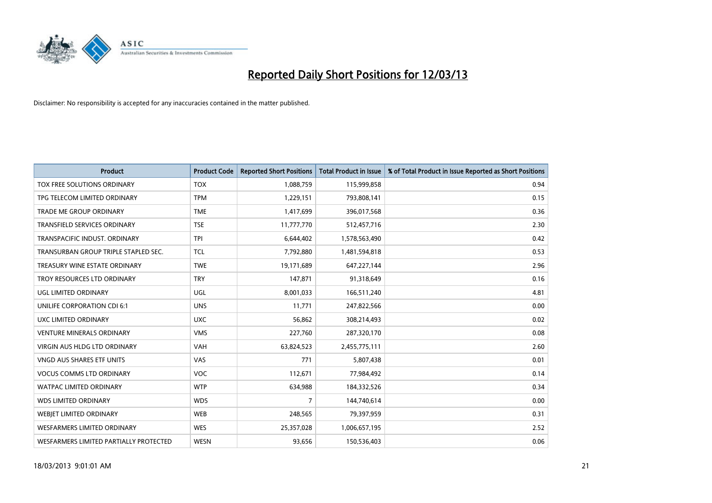

| <b>Product</b>                         | <b>Product Code</b> | <b>Reported Short Positions</b> | <b>Total Product in Issue</b> | % of Total Product in Issue Reported as Short Positions |
|----------------------------------------|---------------------|---------------------------------|-------------------------------|---------------------------------------------------------|
| TOX FREE SOLUTIONS ORDINARY            | <b>TOX</b>          | 1,088,759                       | 115,999,858                   | 0.94                                                    |
| TPG TELECOM LIMITED ORDINARY           | <b>TPM</b>          | 1,229,151                       | 793,808,141                   | 0.15                                                    |
| <b>TRADE ME GROUP ORDINARY</b>         | <b>TME</b>          | 1,417,699                       | 396,017,568                   | 0.36                                                    |
| TRANSFIELD SERVICES ORDINARY           | <b>TSE</b>          | 11,777,770                      | 512,457,716                   | 2.30                                                    |
| TRANSPACIFIC INDUST, ORDINARY          | <b>TPI</b>          | 6,644,402                       | 1,578,563,490                 | 0.42                                                    |
| TRANSURBAN GROUP TRIPLE STAPLED SEC.   | TCL                 | 7,792,880                       | 1,481,594,818                 | 0.53                                                    |
| TREASURY WINE ESTATE ORDINARY          | <b>TWE</b>          | 19,171,689                      | 647,227,144                   | 2.96                                                    |
| TROY RESOURCES LTD ORDINARY            | <b>TRY</b>          | 147,871                         | 91,318,649                    | 0.16                                                    |
| UGL LIMITED ORDINARY                   | UGL                 | 8,001,033                       | 166,511,240                   | 4.81                                                    |
| UNILIFE CORPORATION CDI 6:1            | <b>UNS</b>          | 11,771                          | 247,822,566                   | 0.00                                                    |
| UXC LIMITED ORDINARY                   | <b>UXC</b>          | 56,862                          | 308,214,493                   | 0.02                                                    |
| <b>VENTURE MINERALS ORDINARY</b>       | <b>VMS</b>          | 227,760                         | 287,320,170                   | 0.08                                                    |
| <b>VIRGIN AUS HLDG LTD ORDINARY</b>    | <b>VAH</b>          | 63,824,523                      | 2,455,775,111                 | 2.60                                                    |
| VNGD AUS SHARES ETF UNITS              | <b>VAS</b>          | 771                             | 5,807,438                     | 0.01                                                    |
| <b>VOCUS COMMS LTD ORDINARY</b>        | <b>VOC</b>          | 112,671                         | 77,984,492                    | 0.14                                                    |
| WATPAC LIMITED ORDINARY                | <b>WTP</b>          | 634,988                         | 184,332,526                   | 0.34                                                    |
| <b>WDS LIMITED ORDINARY</b>            | <b>WDS</b>          | $\overline{7}$                  | 144,740,614                   | 0.00                                                    |
| WEBJET LIMITED ORDINARY                | <b>WEB</b>          | 248,565                         | 79,397,959                    | 0.31                                                    |
| <b>WESFARMERS LIMITED ORDINARY</b>     | <b>WES</b>          | 25,357,028                      | 1,006,657,195                 | 2.52                                                    |
| WESFARMERS LIMITED PARTIALLY PROTECTED | <b>WESN</b>         | 93.656                          | 150,536,403                   | 0.06                                                    |